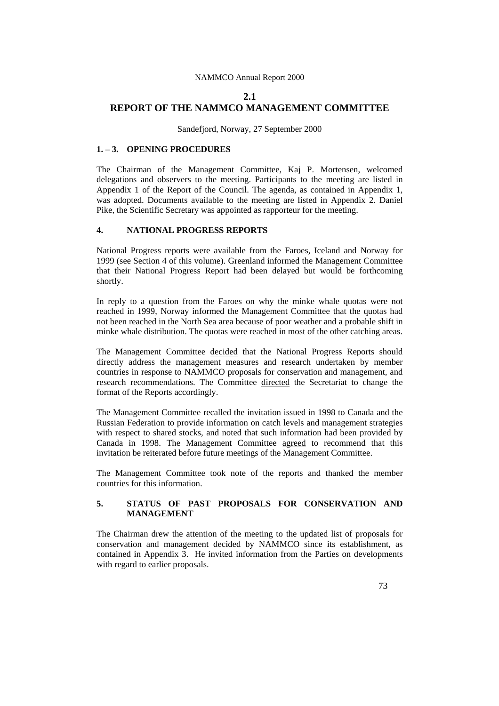# **2.1 REPORT OF THE NAMMCO MANAGEMENT COMMITTEE**

Sandefjord, Norway, 27 September 2000

### **1. – 3. OPENING PROCEDURES**

The Chairman of the Management Committee, Kaj P. Mortensen, welcomed delegations and observers to the meeting. Participants to the meeting are listed in Appendix 1 of the Report of the Council. The agenda, as contained in Appendix 1, was adopted. Documents available to the meeting are listed in Appendix 2. Daniel Pike, the Scientific Secretary was appointed as rapporteur for the meeting.

#### **4. NATIONAL PROGRESS REPORTS**

National Progress reports were available from the Faroes, Iceland and Norway for 1999 (see Section 4 of this volume). Greenland informed the Management Committee that their National Progress Report had been delayed but would be forthcoming shortly.

In reply to a question from the Faroes on why the minke whale quotas were not reached in 1999, Norway informed the Management Committee that the quotas had not been reached in the North Sea area because of poor weather and a probable shift in minke whale distribution. The quotas were reached in most of the other catching areas.

The Management Committee decided that the National Progress Reports should directly address the management measures and research undertaken by member countries in response to NAMMCO proposals for conservation and management, and research recommendations. The Committee directed the Secretariat to change the format of the Reports accordingly.

The Management Committee recalled the invitation issued in 1998 to Canada and the Russian Federation to provide information on catch levels and management strategies with respect to shared stocks, and noted that such information had been provided by Canada in 1998. The Management Committee agreed to recommend that this invitation be reiterated before future meetings of the Management Committee.

The Management Committee took note of the reports and thanked the member countries for this information.

# **5. STATUS OF PAST PROPOSALS FOR CONSERVATION AND MANAGEMENT**

The Chairman drew the attention of the meeting to the updated list of proposals for conservation and management decided by NAMMCO since its establishment, as contained in Appendix 3. He invited information from the Parties on developments with regard to earlier proposals.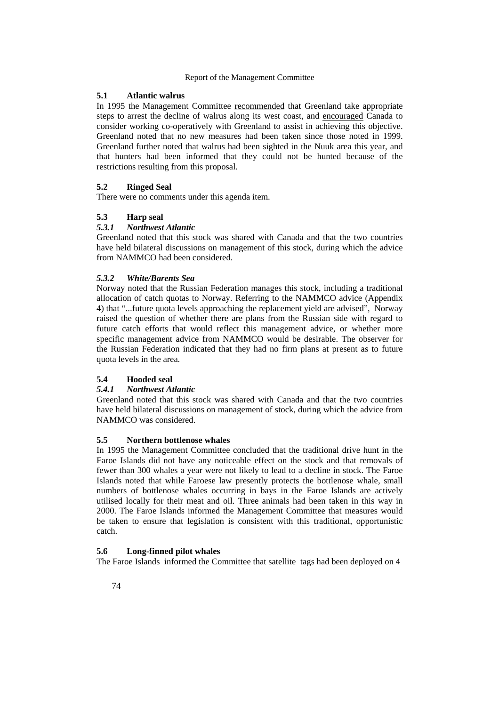### **5.1 Atlantic walrus**

In 1995 the Management Committee recommended that Greenland take appropriate steps to arrest the decline of walrus along its west coast, and encouraged Canada to consider working co-operatively with Greenland to assist in achieving this objective. Greenland noted that no new measures had been taken since those noted in 1999. Greenland further noted that walrus had been sighted in the Nuuk area this year, and that hunters had been informed that they could not be hunted because of the restrictions resulting from this proposal.

### **5.2 Ringed Seal**

There were no comments under this agenda item.

# **5.3 Harp seal**

# *5.3.1 Northwest Atlantic*

Greenland noted that this stock was shared with Canada and that the two countries have held bilateral discussions on management of this stock, during which the advice from NAMMCO had been considered.

### *5.3.2 White/Barents Sea*

Norway noted that the Russian Federation manages this stock, including a traditional allocation of catch quotas to Norway. Referring to the NAMMCO advice (Appendix 4) that "...future quota levels approaching the replacement yield are advised", Norway raised the question of whether there are plans from the Russian side with regard to future catch efforts that would reflect this management advice, or whether more specific management advice from NAMMCO would be desirable. The observer for the Russian Federation indicated that they had no firm plans at present as to future quota levels in the area.

# **5.4 Hooded seal**

### *5.4.1 Northwest Atlantic*

Greenland noted that this stock was shared with Canada and that the two countries have held bilateral discussions on management of stock, during which the advice from NAMMCO was considered.

### **5.5 Northern bottlenose whales**

In 1995 the Management Committee concluded that the traditional drive hunt in the Faroe Islands did not have any noticeable effect on the stock and that removals of fewer than 300 whales a year were not likely to lead to a decline in stock. The Faroe Islands noted that while Faroese law presently protects the bottlenose whale, small numbers of bottlenose whales occurring in bays in the Faroe Islands are actively utilised locally for their meat and oil. Three animals had been taken in this way in 2000. The Faroe Islands informed the Management Committee that measures would be taken to ensure that legislation is consistent with this traditional, opportunistic catch.

### **5.6 Long-finned pilot whales**

The Faroe Islands informed the Committee that satellite tags had been deployed on 4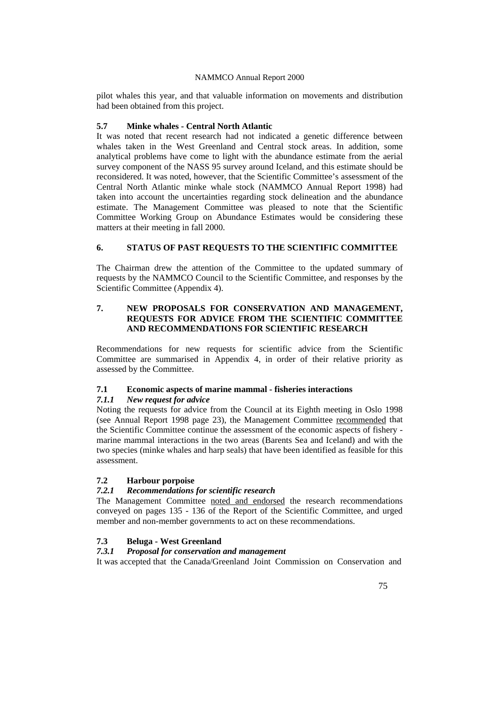pilot whales this year, and that valuable information on movements and distribution had been obtained from this project.

### **5.7 Minke whales - Central North Atlantic**

It was noted that recent research had not indicated a genetic difference between whales taken in the West Greenland and Central stock areas. In addition, some analytical problems have come to light with the abundance estimate from the aerial survey component of the NASS 95 survey around Iceland, and this estimate should be reconsidered. It was noted, however, that the Scientific Committee's assessment of the Central North Atlantic minke whale stock (NAMMCO Annual Report 1998) had taken into account the uncertainties regarding stock delineation and the abundance estimate. The Management Committee was pleased to note that the Scientific Committee Working Group on Abundance Estimates would be considering these matters at their meeting in fall 2000.

# **6. STATUS OF PAST REQUESTS TO THE SCIENTIFIC COMMITTEE**

The Chairman drew the attention of the Committee to the updated summary of requests by the NAMMCO Council to the Scientific Committee, and responses by the Scientific Committee (Appendix 4).

# **7. NEW PROPOSALS FOR CONSERVATION AND MANAGEMENT, REQUESTS FOR ADVICE FROM THE SCIENTIFIC COMMITTEE AND RECOMMENDATIONS FOR SCIENTIFIC RESEARCH**

Recommendations for new requests for scientific advice from the Scientific Committee are summarised in Appendix 4, in order of their relative priority as assessed by the Committee.

# **7.1 Economic aspects of marine mammal - fisheries interactions**

### *7.1.1 New request for advice*

Noting the requests for advice from the Council at its Eighth meeting in Oslo 1998 (see Annual Report 1998 page 23), the Management Committee recommended that the Scientific Committee continue the assessment of the economic aspects of fishery marine mammal interactions in the two areas (Barents Sea and Iceland) and with the two species (minke whales and harp seals) that have been identified as feasible for this assessment.

# **7.2 Harbour porpoise**

# *7.2.1 Recommendations for scientific research*

The Management Committee noted and endorsed the research recommendations conveyed on pages 135 - 136 of the Report of the Scientific Committee, and urged member and non-member governments to act on these recommendations.

# **7.3 Beluga - West Greenland**

### *7.3.1 Proposal for conservation and management*

It was accepted that the Canada/Greenland Joint Commission on Conservation and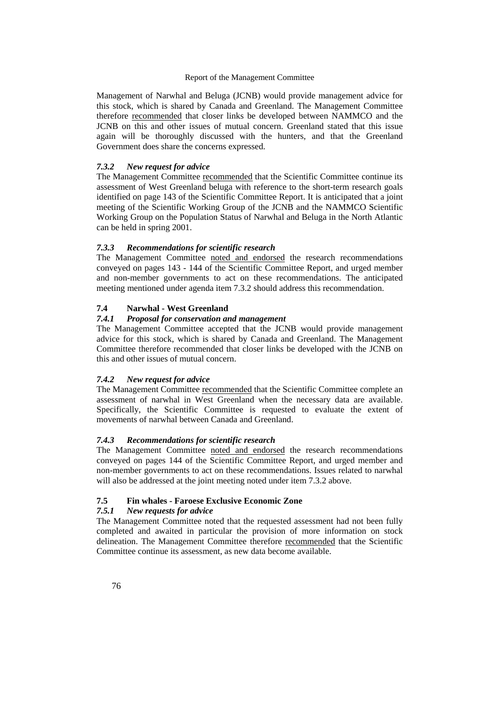Management of Narwhal and Beluga (JCNB) would provide management advice for this stock, which is shared by Canada and Greenland. The Management Committee therefore recommended that closer links be developed between NAMMCO and the JCNB on this and other issues of mutual concern. Greenland stated that this issue again will be thoroughly discussed with the hunters, and that the Greenland Government does share the concerns expressed.

#### *7.3.2 New request for advice*

The Management Committee recommended that the Scientific Committee continue its assessment of West Greenland beluga with reference to the short-term research goals identified on page 143 of the Scientific Committee Report. It is anticipated that a joint meeting of the Scientific Working Group of the JCNB and the NAMMCO Scientific Working Group on the Population Status of Narwhal and Beluga in the North Atlantic can be held in spring 2001.

### *7.3.3 Recommendations for scientific research*

The Management Committee noted and endorsed the research recommendations conveyed on pages 143 - 144 of the Scientific Committee Report, and urged member and non-member governments to act on these recommendations. The anticipated meeting mentioned under agenda item 7.3.2 should address this recommendation.

### **7.4 Narwhal - West Greenland**

# *7.4.1 Proposal for conservation and management*

The Management Committee accepted that the JCNB would provide management advice for this stock, which is shared by Canada and Greenland. The Management Committee therefore recommended that closer links be developed with the JCNB on this and other issues of mutual concern.

### *7.4.2 New request for advice*

The Management Committee recommended that the Scientific Committee complete an assessment of narwhal in West Greenland when the necessary data are available. Specifically, the Scientific Committee is requested to evaluate the extent of movements of narwhal between Canada and Greenland.

### *7.4.3 Recommendations for scientific research*

The Management Committee noted and endorsed the research recommendations conveyed on pages 144 of the Scientific Committee Report, and urged member and non-member governments to act on these recommendations. Issues related to narwhal will also be addressed at the joint meeting noted under item 7.3.2 above.

### **7.5 Fin whales - Faroese Exclusive Economic Zone**

#### *7.5.1 New requests for advice*

The Management Committee noted that the requested assessment had not been fully completed and awaited in particular the provision of more information on stock delineation. The Management Committee therefore recommended that the Scientific Committee continue its assessment, as new data become available.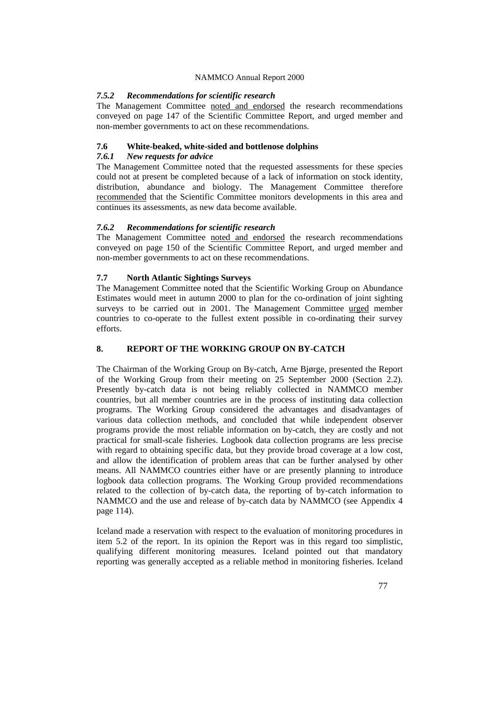### *7.5.2 Recommendations for scientific research*

The Management Committee noted and endorsed the research recommendations conveyed on page 147 of the Scientific Committee Report, and urged member and non-member governments to act on these recommendations.

# **7.6 White-beaked, white-sided and bottlenose dolphins**

### *7.6.1 New requests for advice*

The Management Committee noted that the requested assessments for these species could not at present be completed because of a lack of information on stock identity, distribution, abundance and biology. The Management Committee therefore recommended that the Scientific Committee monitors developments in this area and continues its assessments, as new data become available.

### *7.6.2 Recommendations for scientific research*

The Management Committee noted and endorsed the research recommendations conveyed on page 150 of the Scientific Committee Report, and urged member and non-member governments to act on these recommendations.

### **7.7 North Atlantic Sightings Surveys**

The Management Committee noted that the Scientific Working Group on Abundance Estimates would meet in autumn 2000 to plan for the co-ordination of joint sighting surveys to be carried out in 2001. The Management Committee urged member countries to co-operate to the fullest extent possible in co-ordinating their survey efforts.

# **8. REPORT OF THE WORKING GROUP ON BY-CATCH**

The Chairman of the Working Group on By-catch, Arne Bjørge, presented the Report of the Working Group from their meeting on 25 September 2000 (Section 2.2). Presently by-catch data is not being reliably collected in NAMMCO member countries, but all member countries are in the process of instituting data collection programs. The Working Group considered the advantages and disadvantages of various data collection methods, and concluded that while independent observer programs provide the most reliable information on by-catch, they are costly and not practical for small-scale fisheries. Logbook data collection programs are less precise with regard to obtaining specific data, but they provide broad coverage at a low cost, and allow the identification of problem areas that can be further analysed by other means. All NAMMCO countries either have or are presently planning to introduce logbook data collection programs. The Working Group provided recommendations related to the collection of by-catch data, the reporting of by-catch information to NAMMCO and the use and release of by-catch data by NAMMCO (see Appendix 4 page 114).

Iceland made a reservation with respect to the evaluation of monitoring procedures in item 5.2 of the report. In its opinion the Report was in this regard too simplistic, qualifying different monitoring measures. Iceland pointed out that mandatory reporting was generally accepted as a reliable method in monitoring fisheries. Iceland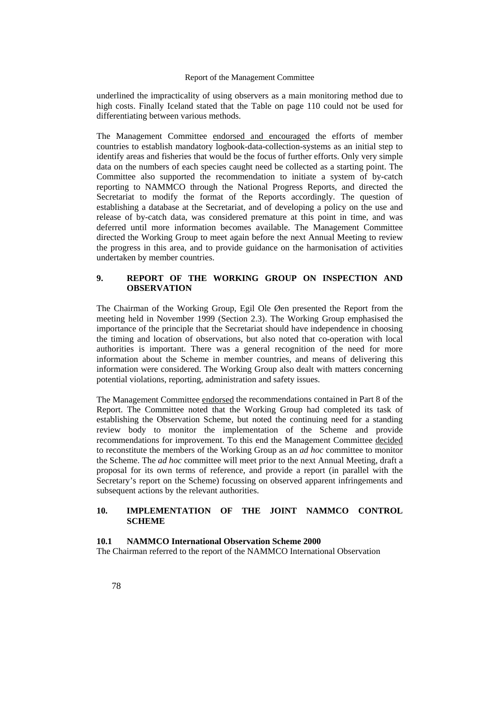underlined the impracticality of using observers as a main monitoring method due to high costs. Finally Iceland stated that the Table on page 110 could not be used for differentiating between various methods.

The Management Committee endorsed and encouraged the efforts of member countries to establish mandatory logbook-data-collection-systems as an initial step to identify areas and fisheries that would be the focus of further efforts. Only very simple data on the numbers of each species caught need be collected as a starting point. The Committee also supported the recommendation to initiate a system of by-catch reporting to NAMMCO through the National Progress Reports, and directed the Secretariat to modify the format of the Reports accordingly. The question of establishing a database at the Secretariat, and of developing a policy on the use and release of by-catch data, was considered premature at this point in time, and was deferred until more information becomes available. The Management Committee directed the Working Group to meet again before the next Annual Meeting to review the progress in this area, and to provide guidance on the harmonisation of activities undertaken by member countries.

### **9. REPORT OF THE WORKING GROUP ON INSPECTION AND OBSERVATION**

The Chairman of the Working Group, Egil Ole Øen presented the Report from the meeting held in November 1999 (Section 2.3). The Working Group emphasised the importance of the principle that the Secretariat should have independence in choosing the timing and location of observations, but also noted that co-operation with local authorities is important. There was a general recognition of the need for more information about the Scheme in member countries, and means of delivering this information were considered. The Working Group also dealt with matters concerning potential violations, reporting, administration and safety issues.

The Management Committee endorsed the recommendations contained in Part 8 of the Report. The Committee noted that the Working Group had completed its task of establishing the Observation Scheme, but noted the continuing need for a standing review body to monitor the implementation of the Scheme and provide recommendations for improvement. To this end the Management Committee decided to reconstitute the members of the Working Group as an *ad hoc* committee to monitor the Scheme. The *ad hoc* committee will meet prior to the next Annual Meeting, draft a proposal for its own terms of reference, and provide a report (in parallel with the Secretary's report on the Scheme) focussing on observed apparent infringements and subsequent actions by the relevant authorities.

### **10. IMPLEMENTATION OF THE JOINT NAMMCO CONTROL SCHEME**

### **10.1 NAMMCO International Observation Scheme 2000**

The Chairman referred to the report of the NAMMCO International Observation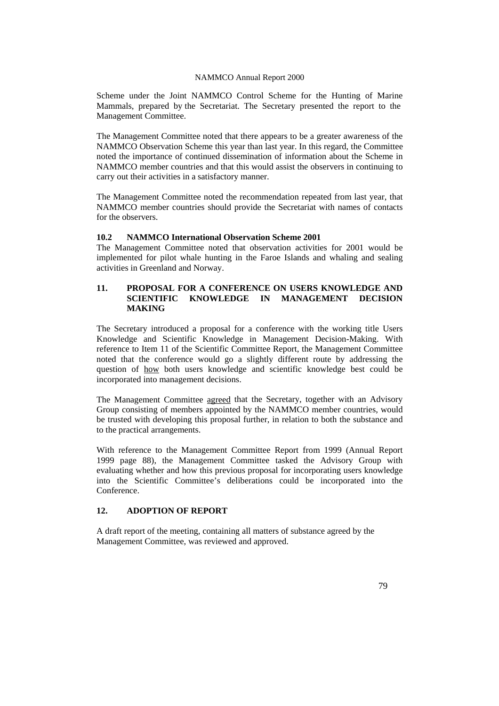Scheme under the Joint NAMMCO Control Scheme for the Hunting of Marine Mammals, prepared by the Secretariat. The Secretary presented the report to the Management Committee.

The Management Committee noted that there appears to be a greater awareness of the NAMMCO Observation Scheme this year than last year. In this regard, the Committee noted the importance of continued dissemination of information about the Scheme in NAMMCO member countries and that this would assist the observers in continuing to carry out their activities in a satisfactory manner.

The Management Committee noted the recommendation repeated from last year, that NAMMCO member countries should provide the Secretariat with names of contacts for the observers.

### **10.2 NAMMCO International Observation Scheme 2001**

The Management Committee noted that observation activities for 2001 would be implemented for pilot whale hunting in the Faroe Islands and whaling and sealing activities in Greenland and Norway.

### **11. PROPOSAL FOR A CONFERENCE ON USERS KNOWLEDGE AND SCIENTIFIC KNOWLEDGE IN MANAGEMENT DECISION MAKING**

The Secretary introduced a proposal for a conference with the working title Users Knowledge and Scientific Knowledge in Management Decision-Making. With reference to Item 11 of the Scientific Committee Report, the Management Committee noted that the conference would go a slightly different route by addressing the question of how both users knowledge and scientific knowledge best could be incorporated into management decisions.

The Management Committee agreed that the Secretary, together with an Advisory Group consisting of members appointed by the NAMMCO member countries, would be trusted with developing this proposal further, in relation to both the substance and to the practical arrangements.

With reference to the Management Committee Report from 1999 (Annual Report 1999 page 88), the Management Committee tasked the Advisory Group with evaluating whether and how this previous proposal for incorporating users knowledge into the Scientific Committee's deliberations could be incorporated into the Conference.

# **12. ADOPTION OF REPORT**

A draft report of the meeting, containing all matters of substance agreed by the Management Committee, was reviewed and approved.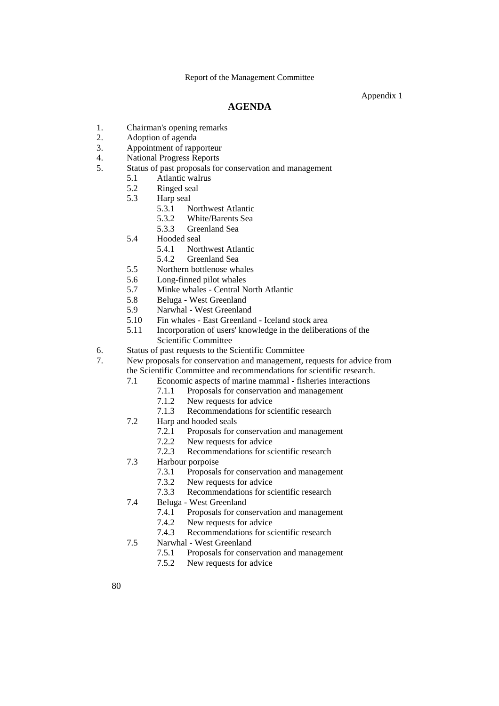Appendix 1

# **AGENDA**

- 1. Chairman's opening remarks
- 2. Adoption of agenda
- 3. Appointment of rapporteur
- 4. National Progress Reports
- 5. Status of past proposals for conservation and management
	- 5.1 Atlantic walrus
	- 5.2 Ringed seal<br>5.3 Harp seal
	- Harp seal<br> $5.31 N$ 
		- Northwest Atlantic
		- 5.3.2 White/Barents Sea
		- 5.3.3 Greenland Sea
	- 5.4 Hooded seal
		- 5.4.1 Northwest Atlantic
		- 5.4.2 Greenland Sea
	- 5.5 Northern bottlenose whales
	- 5.6 Long-finned pilot whales
	- 5.7 Minke whales Central North Atlantic
	- 5.8 Beluga West Greenland
	- 5.9 Narwhal West Greenland
	- 5.10 Fin whales East Greenland Iceland stock area
	- 5.11 Incorporation of users' knowledge in the deliberations of the Scientific Committee
- 6. Status of past requests to the Scientific Committee
- 7. New proposals for conservation and management, requests for advice from the Scientific Committee and recommendations for scientific research.
	- 7.1 Economic aspects of marine mammal fisheries interactions
		- 7.1.1 Proposals for conservation and management
			- 7.1.2 New requests for advice
			- 7.1.3 Recommendations for scientific research
	- 7.2 Harp and hooded seals
		- 7.2.1 Proposals for conservation and management
		- 7.2.2 New requests for advice
		- 7.2.3 Recommendations for scientific research
	- 7.3 Harbour porpoise
		- 7.3.1 Proposals for conservation and management
		- 7.3.2 New requests for advice
		- 7.3.3 Recommendations for scientific research
	- 7.4 Beluga West Greenland
		- 7.4.1 Proposals for conservation and management
		- 7.4.2 New requests for advice
		- 7.4.3 Recommendations for scientific research
	- 7.5 Narwhal West Greenland
		- 7.5.1 Proposals for conservation and management
		- 7.5.2 New requests for advice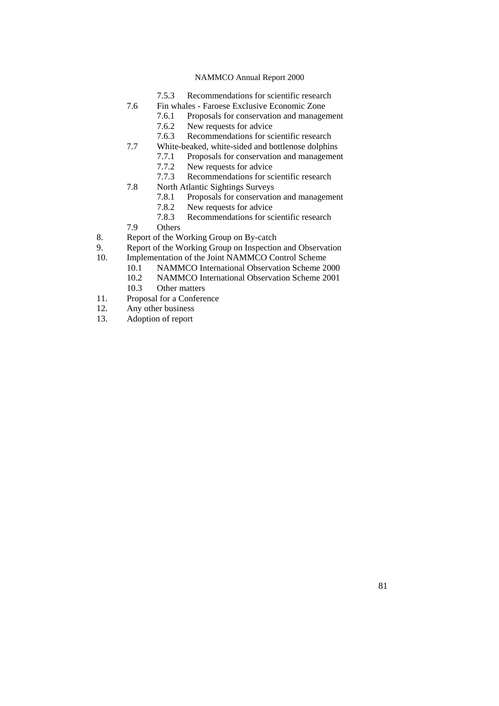- 7.5.3 Recommendations for scientific research
- 7.6 Fin whales Faroese Exclusive Economic Zone
	- 7.6.1 Proposals for conservation and management
	- 7.6.2 New requests for advice<br>7.6.3 Recommendations for sc
	- Recommendations for scientific research
- 7.7 White-beaked, white-sided and bottlenose dolphins
	- 7.7.1 Proposals for conservation and management
		- 7.7.2 New requests for advice
		- 7.7.3 Recommendations for scientific research
- 7.8 North Atlantic Sightings Surveys
	- 7.8.1 Proposals for conservation and management
	- 7.8.2 New requests for advice
- 7.8.3 Recommendations for scientific research<br>
7.9 Others
- 
- 7.9 Others<br>8. Report of the W Report of the Working Group on By-catch
- 9. Report of the Working Group on Inspection and Observation 10. Implementation of the Joint NAMMCO Control Scheme
- Implementation of the Joint NAMMCO Control Scheme
	- 10.1 NAMMCO International Observation Scheme 2000
	- 10.2 NAMMCO International Observation Scheme 2001
	- 10.3 Other matters
- 11. Proposal for a Conference
- 12. Any other business
- 13. Adoption of report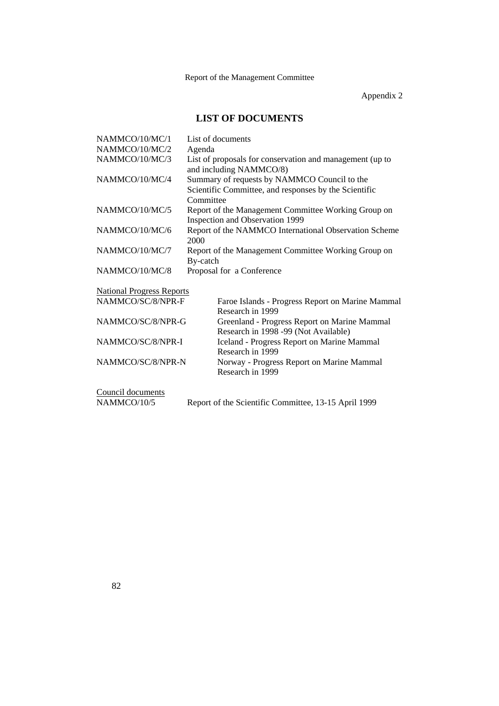Appendix 2

# **LIST OF DOCUMENTS**

| NAMMCO/10/MC/1                   | List of documents                                                                                                  |
|----------------------------------|--------------------------------------------------------------------------------------------------------------------|
| NAMMCO/10/MC/2                   | Agenda                                                                                                             |
| NAMMCO/10/MC/3                   | List of proposals for conservation and management (up to<br>and including NAMMCO/8)                                |
| NAMMCO/10/MC/4                   | Summary of requests by NAMMCO Council to the<br>Scientific Committee, and responses by the Scientific<br>Committee |
| NAMMCO/10/MC/5                   | Report of the Management Committee Working Group on<br>Inspection and Observation 1999                             |
| NAMMCO/10/MC/6                   | Report of the NAMMCO International Observation Scheme<br>2000                                                      |
| NAMMCO/10/MC/7                   | Report of the Management Committee Working Group on<br>By-catch                                                    |
| NAMMCO/10/MC/8                   | Proposal for a Conference                                                                                          |
| <b>National Progress Reports</b> |                                                                                                                    |
| NAMMCO/SC/8/NPR-F                | Faroe Islands - Progress Report on Marine Mammal<br>Research in 1999                                               |
| NAMMCO/SC/8/NPR-G                | Greenland - Progress Report on Marine Mammal<br>Research in 1998 -99 (Not Available)                               |
| NAMMCO/SC/8/NPR-I                | <b>Iceland - Progress Report on Marine Mammal</b><br>Research in 1999                                              |
| NAMMCO/SC/8/NPR-N                | Norway - Progress Report on Marine Mammal<br>Research in 1999                                                      |
| Council documents                |                                                                                                                    |
| NAMMCO/10/5                      | Report of the Scientific Committee, 13-15 April 1999                                                               |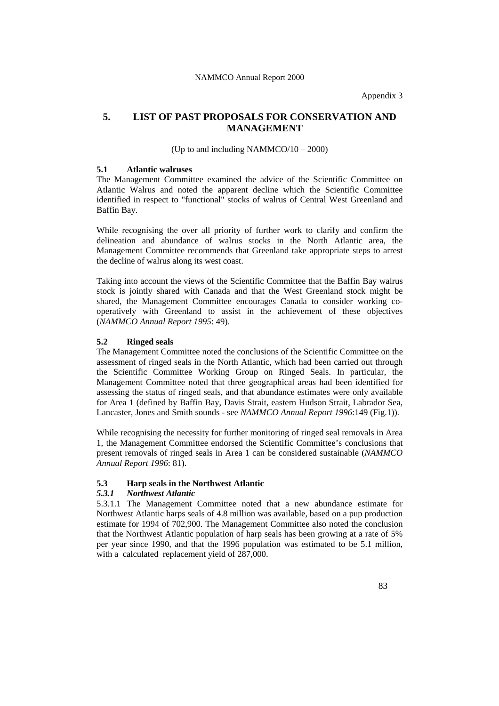Appendix 3

# **5. LIST OF PAST PROPOSALS FOR CONSERVATION AND MANAGEMENT**

(Up to and including NAMMCO/10 – 2000)

#### **5.1 Atlantic walruses**

The Management Committee examined the advice of the Scientific Committee on Atlantic Walrus and noted the apparent decline which the Scientific Committee identified in respect to "functional" stocks of walrus of Central West Greenland and Baffin Bay.

While recognising the over all priority of further work to clarify and confirm the delineation and abundance of walrus stocks in the North Atlantic area, the Management Committee recommends that Greenland take appropriate steps to arrest the decline of walrus along its west coast.

Taking into account the views of the Scientific Committee that the Baffin Bay walrus stock is jointly shared with Canada and that the West Greenland stock might be shared, the Management Committee encourages Canada to consider working cooperatively with Greenland to assist in the achievement of these objectives (*NAMMCO Annual Report 1995*: 49).

#### **5.2 Ringed seals**

The Management Committee noted the conclusions of the Scientific Committee on the assessment of ringed seals in the North Atlantic, which had been carried out through the Scientific Committee Working Group on Ringed Seals. In particular, the Management Committee noted that three geographical areas had been identified for assessing the status of ringed seals, and that abundance estimates were only available for Area 1 (defined by Baffin Bay, Davis Strait, eastern Hudson Strait, Labrador Sea, Lancaster, Jones and Smith sounds - see *NAMMCO Annual Report 1996*:149 (Fig.1)).

While recognising the necessity for further monitoring of ringed seal removals in Area 1, the Management Committee endorsed the Scientific Committee's conclusions that present removals of ringed seals in Area 1 can be considered sustainable (*NAMMCO Annual Report 1996*: 81).

#### **5.3 Harp seals in the Northwest Atlantic**

#### *5.3.1 Northwest Atlantic*

5.3.1.1 The Management Committee noted that a new abundance estimate for Northwest Atlantic harps seals of 4.8 million was available, based on a pup production estimate for 1994 of 702,900. The Management Committee also noted the conclusion that the Northwest Atlantic population of harp seals has been growing at a rate of 5% per year since 1990, and that the 1996 population was estimated to be 5.1 million, with a calculated replacement yield of 287,000.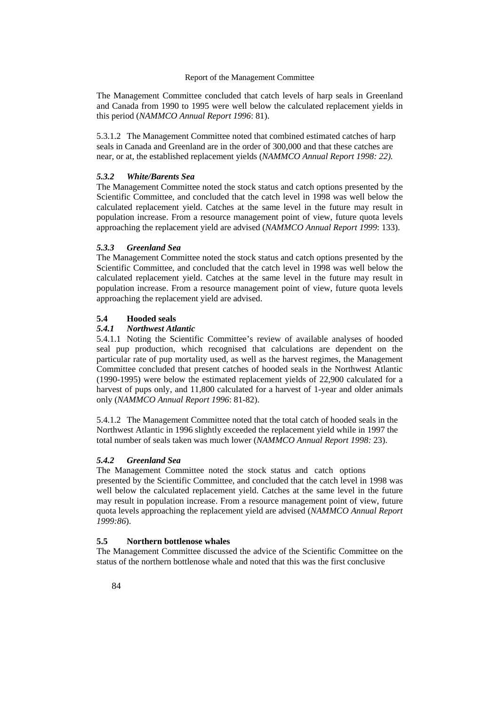The Management Committee concluded that catch levels of harp seals in Greenland and Canada from 1990 to 1995 were well below the calculated replacement yields in this period (*NAMMCO Annual Report 1996*: 81).

5.3.1.2 The Management Committee noted that combined estimated catches of harp seals in Canada and Greenland are in the order of 300,000 and that these catches are near, or at, the established replacement yields (*NAMMCO Annual Report 1998: 22).*

#### *5.3.2 White/Barents Sea*

The Management Committee noted the stock status and catch options presented by the Scientific Committee, and concluded that the catch level in 1998 was well below the calculated replacement yield. Catches at the same level in the future may result in population increase. From a resource management point of view, future quota levels approaching the replacement yield are advised (*NAMMCO Annual Report 1999*: 133).

### *5.3.3 Greenland Sea*

The Management Committee noted the stock status and catch options presented by the Scientific Committee, and concluded that the catch level in 1998 was well below the calculated replacement yield. Catches at the same level in the future may result in population increase. From a resource management point of view, future quota levels approaching the replacement yield are advised.

### **5.4 Hooded seals**

#### *5.4.1 Northwest Atlantic*

5.4.1.1 Noting the Scientific Committee's review of available analyses of hooded seal pup production, which recognised that calculations are dependent on the particular rate of pup mortality used, as well as the harvest regimes, the Management Committee concluded that present catches of hooded seals in the Northwest Atlantic (1990-1995) were below the estimated replacement yields of 22,900 calculated for a harvest of pups only, and 11,800 calculated for a harvest of 1-year and older animals only (*NAMMCO Annual Report 1996*: 81-82).

5.4.1.2 The Management Committee noted that the total catch of hooded seals in the Northwest Atlantic in 1996 slightly exceeded the replacement yield while in 1997 the total number of seals taken was much lower (*NAMMCO Annual Report 1998:* 23).

#### *5.4.2 Greenland Sea*

The Management Committee noted the stock status and catch options presented by the Scientific Committee, and concluded that the catch level in 1998 was well below the calculated replacement yield. Catches at the same level in the future may result in population increase. From a resource management point of view, future quota levels approaching the replacement yield are advised (*NAMMCO Annual Report 1999:86*).

### **5.5 Northern bottlenose whales**

The Management Committee discussed the advice of the Scientific Committee on the status of the northern bottlenose whale and noted that this was the first conclusive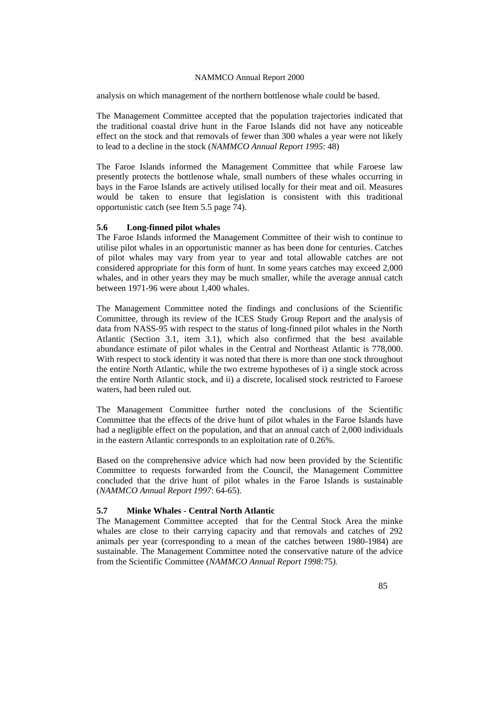analysis on which management of the northern bottlenose whale could be based.

The Management Committee accepted that the population trajectories indicated that the traditional coastal drive hunt in the Faroe Islands did not have any noticeable effect on the stock and that removals of fewer than 300 whales a year were not likely to lead to a decline in the stock (*NAMMCO Annual Report 1995*: 48)

The Faroe Islands informed the Management Committee that while Faroese law presently protects the bottlenose whale, small numbers of these whales occurring in bays in the Faroe Islands are actively utilised locally for their meat and oil. Measures would be taken to ensure that legislation is consistent with this traditional opportunistic catch (see Item 5.5 page 74).

#### **5.6 Long-finned pilot whales**

The Faroe Islands informed the Management Committee of their wish to continue to utilise pilot whales in an opportunistic manner as has been done for centuries. Catches of pilot whales may vary from year to year and total allowable catches are not considered appropriate for this form of hunt. In some years catches may exceed 2,000 whales, and in other years they may be much smaller, while the average annual catch between 1971-96 were about 1,400 whales.

The Management Committee noted the findings and conclusions of the Scientific Committee, through its review of the ICES Study Group Report and the analysis of data from NASS-95 with respect to the status of long-finned pilot whales in the North Atlantic (Section 3.1, item 3.1), which also confirmed that the best available abundance estimate of pilot whales in the Central and Northeast Atlantic is 778,000. With respect to stock identity it was noted that there is more than one stock throughout the entire North Atlantic, while the two extreme hypotheses of i) a single stock across the entire North Atlantic stock, and ii) a discrete, localised stock restricted to Faroese waters, had been ruled out.

The Management Committee further noted the conclusions of the Scientific Committee that the effects of the drive hunt of pilot whales in the Faroe Islands have had a negligible effect on the population, and that an annual catch of 2,000 individuals in the eastern Atlantic corresponds to an exploitation rate of 0.26%.

Based on the comprehensive advice which had now been provided by the Scientific Committee to requests forwarded from the Council, the Management Committee concluded that the drive hunt of pilot whales in the Faroe Islands is sustainable (*NAMMCO Annual Report 1997*: 64-65).

#### **5.7 Minke Whales - Central North Atlantic**

The Management Committee accepted that for the Central Stock Area the minke whales are close to their carrying capacity and that removals and catches of 292 animals per year (corresponding to a mean of the catches between 1980-1984) are sustainable. The Management Committee noted the conservative nature of the advice from the Scientific Committee (*NAMMCO Annual Report 1998:*75*).*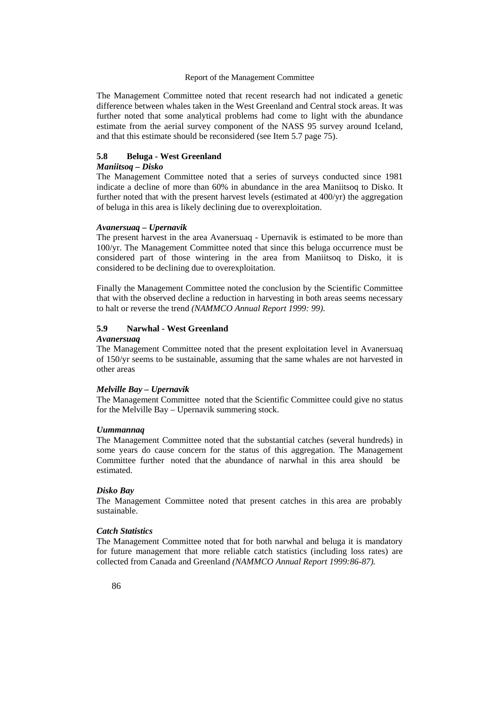The Management Committee noted that recent research had not indicated a genetic difference between whales taken in the West Greenland and Central stock areas. It was further noted that some analytical problems had come to light with the abundance estimate from the aerial survey component of the NASS 95 survey around Iceland, and that this estimate should be reconsidered (see Item 5.7 page 75).

### **5.8 Beluga - West Greenland**

#### *Maniitsoq – Disko*

The Management Committee noted that a series of surveys conducted since 1981 indicate a decline of more than 60% in abundance in the area Maniitsoq to Disko. It further noted that with the present harvest levels (estimated at 400/yr) the aggregation of beluga in this area is likely declining due to overexploitation.

### *Avanersuaq – Upernavik*

The present harvest in the area Avanersuaq - Upernavik is estimated to be more than 100/yr. The Management Committee noted that since this beluga occurrence must be considered part of those wintering in the area from Maniitsoq to Disko, it is considered to be declining due to overexploitation.

Finally the Management Committee noted the conclusion by the Scientific Committee that with the observed decline a reduction in harvesting in both areas seems necessary to halt or reverse the trend *(NAMMCO Annual Report 1999: 99)*.

### **5.9 Narwhal - West Greenland**

#### *Avanersuaq*

The Management Committee noted that the present exploitation level in Avanersuaq of 150/yr seems to be sustainable, assuming that the same whales are not harvested in other areas

#### *Melville Bay – Upernavik*

The Management Committee noted that the Scientific Committee could give no status for the Melville Bay – Upernavik summering stock.

#### *Uummannaq*

The Management Committee noted that the substantial catches (several hundreds) in some years do cause concern for the status of this aggregation. The Management Committee further noted that the abundance of narwhal in this area should be estimated.

#### *Disko Bay*

The Management Committee noted that present catches in this area are probably sustainable.

### *Catch Statistics*

The Management Committee noted that for both narwhal and beluga it is mandatory for future management that more reliable catch statistics (including loss rates) are collected from Canada and Greenland *(NAMMCO Annual Report 1999:86-87).*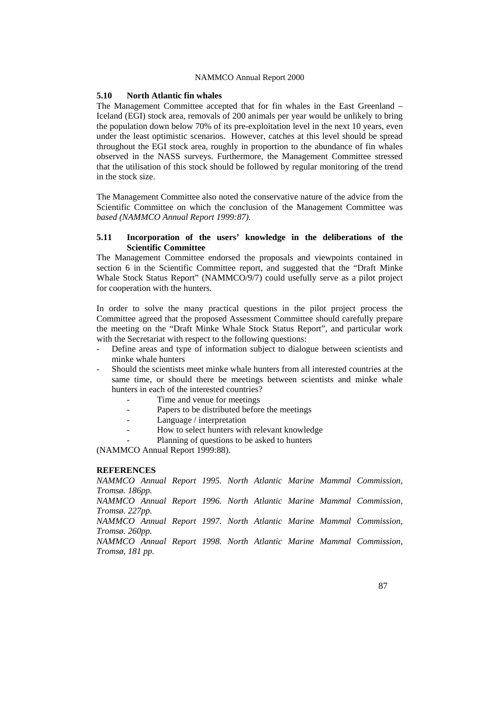#### **5.10 North Atlantic fin whales**

The Management Committee accepted that for fin whales in the East Greenland – Iceland (EGI) stock area, removals of 200 animals per year would be unlikely to bring the population down below 70% of its pre-exploitation level in the next 10 years, even under the least optimistic scenarios. However, catches at this level should be spread throughout the EGI stock area, roughly in proportion to the abundance of fin whales observed in the NASS surveys. Furthermore, the Management Committee stressed that the utilisation of this stock should be followed by regular monitoring of the trend in the stock size.

The Management Committee also noted the conservative nature of the advice from the Scientific Committee on which the conclusion of the Management Committee was *based (NAMMCO Annual Report 1999:87).* 

### **5.11 Incorporation of the users' knowledge in the deliberations of the Scientific Committee**

The Management Committee endorsed the proposals and viewpoints contained in section 6 in the Scientific Committee report, and suggested that the "Draft Minke Whale Stock Status Report" (NAMMCO/9/7) could usefully serve as a pilot project for cooperation with the hunters.

In order to solve the many practical questions in the pilot project process the Committee agreed that the proposed Assessment Committee should carefully prepare the meeting on the "Draft Minke Whale Stock Status Report", and particular work with the Secretariat with respect to the following questions:

- Define areas and type of information subject to dialogue between scientists and minke whale hunters
- Should the scientists meet minke whale hunters from all interested countries at the same time, or should there be meetings between scientists and minke whale hunters in each of the interested countries?
	- Time and venue for meetings
	- Papers to be distributed before the meetings
	- Language / interpretation
	- How to select hunters with relevant knowledge
	- Planning of questions to be asked to hunters

(NAMMCO Annual Report 1999:88).

#### **REFERENCES**

*NAMMCO Annual Report 1995. North Atlantic Marine Mammal Commission, Tromsø. 186pp. NAMMCO Annual Report 1996. North Atlantic Marine Mammal Commission, Tromsø. 227pp. NAMMCO Annual Report 1997. North Atlantic Marine Mammal Commission, Tromsø. 260pp. NAMMCO Annual Report 1998. North Atlantic Marine Mammal Commission, Tromsø, 181 pp.*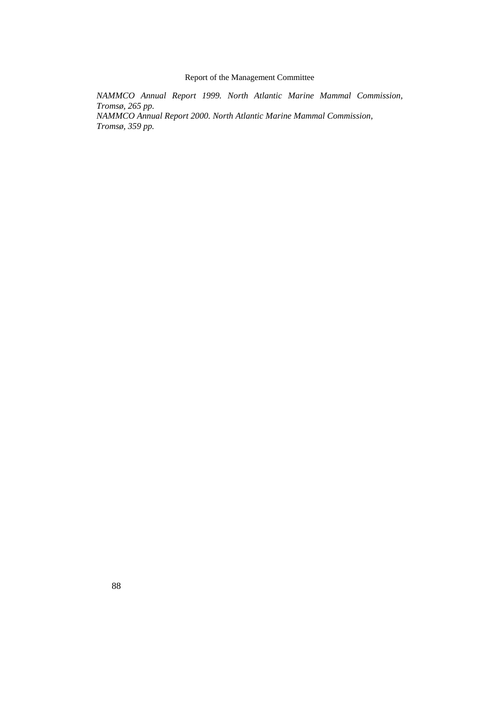*NAMMCO Annual Report 1999. North Atlantic Marine Mammal Commission, Tromsø, 265 pp.* 

*NAMMCO Annual Report 2000. North Atlantic Marine Mammal Commission, Tromsø, 359 pp.*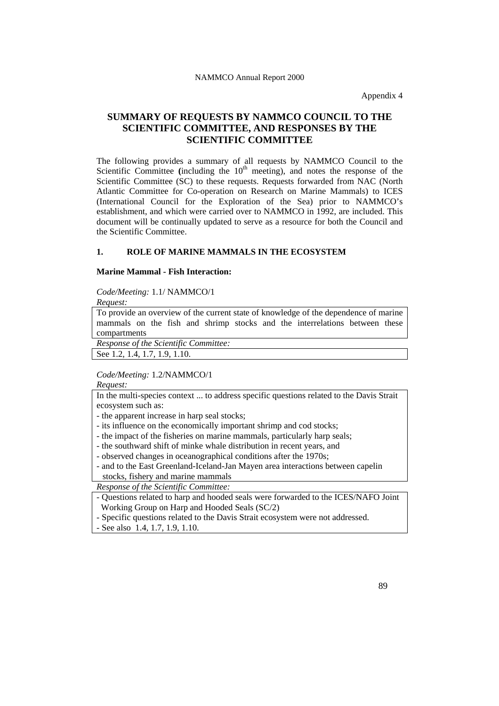Appendix 4

# **SUMMARY OF REQUESTS BY NAMMCO COUNCIL TO THE SCIENTIFIC COMMITTEE, AND RESPONSES BY THE SCIENTIFIC COMMITTEE**

The following provides a summary of all requests by NAMMCO Council to the Scientific Committee (including the  $10<sup>th</sup>$  meeting), and notes the response of the Scientific Committee (SC) to these requests. Requests forwarded from NAC (North Atlantic Committee for Co-operation on Research on Marine Mammals) to ICES (International Council for the Exploration of the Sea) prior to NAMMCO's establishment, and which were carried over to NAMMCO in 1992, are included. This document will be continually updated to serve as a resource for both the Council and the Scientific Committee.

### **1. ROLE OF MARINE MAMMALS IN THE ECOSYSTEM**

### **Marine Mammal - Fish Interaction:**

*Code/Meeting:* 1.1/ NAMMCO/1

*Request:* 

To provide an overview of the current state of knowledge of the dependence of marine mammals on the fish and shrimp stocks and the interrelations between these compartments

*Response of the Scientific Committee:* 

See 1.2, 1.4, 1.7, 1.9, 1.10.

#### *Code/Meeting:* 1.2/NAMMCO/1

*Request:* 

In the multi-species context ... to address specific questions related to the Davis Strait ecosystem such as:

- the apparent increase in harp seal stocks;

- its influence on the economically important shrimp and cod stocks;

- the impact of the fisheries on marine mammals, particularly harp seals;
- the southward shift of minke whale distribution in recent years, and

- observed changes in oceanographical conditions after the 1970s;

- and to the East Greenland-Iceland-Jan Mayen area interactions between capelin stocks, fishery and marine mammals

*Response of the Scientific Committee:* 

- Questions related to harp and hooded seals were forwarded to the ICES/NAFO Joint Working Group on Harp and Hooded Seals (SC/2)

- Specific questions related to the Davis Strait ecosystem were not addressed.

- See also 1.4, 1.7, 1.9, 1.10.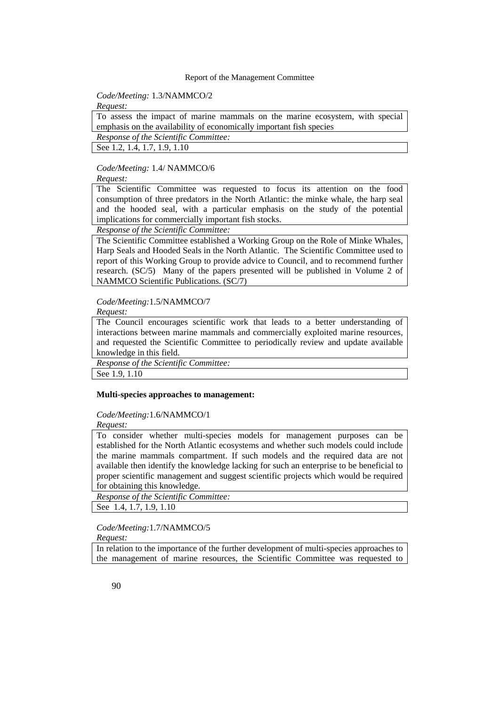### *Code/Meeting:* 1.3/NAMMCO/2

*Request:* 

To assess the impact of marine mammals on the marine ecosystem, with special emphasis on the availability of economically important fish species

*Response of the Scientific Committee:* 

See 1.2, 1.4, 1.7, 1.9, 1.10

### *Code/Meeting:* 1.4/ NAMMCO/6

*Request:* 

The Scientific Committee was requested to focus its attention on the food consumption of three predators in the North Atlantic: the minke whale, the harp seal and the hooded seal, with a particular emphasis on the study of the potential implications for commercially important fish stocks.

*Response of the Scientific Committee:* 

The Scientific Committee established a Working Group on the Role of Minke Whales, Harp Seals and Hooded Seals in the North Atlantic. The Scientific Committee used to report of this Working Group to provide advice to Council, and to recommend further research. (SC/5) Many of the papers presented will be published in Volume 2 of NAMMCO Scientific Publications. (SC/7)

### *Code/Meeting:*1.5/NAMMCO/7

*Request:* 

The Council encourages scientific work that leads to a better understanding of interactions between marine mammals and commercially exploited marine resources, and requested the Scientific Committee to periodically review and update available knowledge in this field.

*Response of the Scientific Committee:* 

See 1.9, 1.10

#### **Multi-species approaches to management:**

# *Code/Meeting:*1.6/NAMMCO/1

*Request:* 

To consider whether multi-species models for management purposes can be established for the North Atlantic ecosystems and whether such models could include the marine mammals compartment. If such models and the required data are not available then identify the knowledge lacking for such an enterprise to be beneficial to proper scientific management and suggest scientific projects which would be required for obtaining this knowledge.

*Response of the Scientific Committee:* 

See 1.4, 1.7, 1.9, 1.10

# *Code/Meeting:*1.7/NAMMCO/5

*Request:* 

In relation to the importance of the further development of multi-species approaches to the management of marine resources, the Scientific Committee was requested to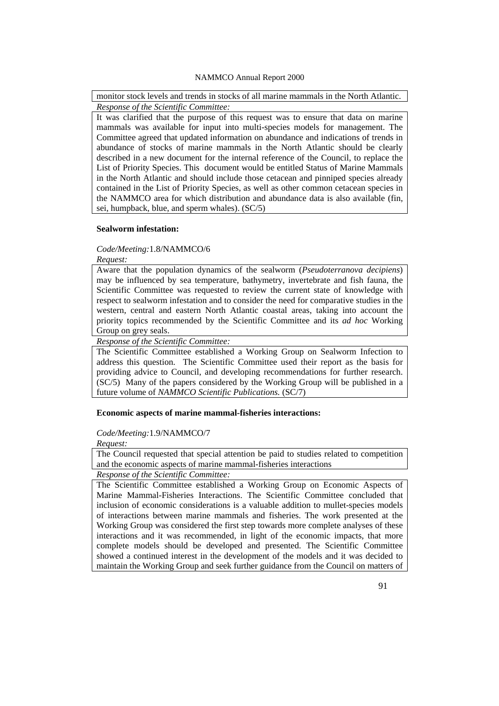monitor stock levels and trends in stocks of all marine mammals in the North Atlantic. *Response of the Scientific Committee:* 

It was clarified that the purpose of this request was to ensure that data on marine mammals was available for input into multi-species models for management. The Committee agreed that updated information on abundance and indications of trends in abundance of stocks of marine mammals in the North Atlantic should be clearly described in a new document for the internal reference of the Council, to replace the List of Priority Species. This document would be entitled Status of Marine Mammals in the North Atlantic and should include those cetacean and pinniped species already contained in the List of Priority Species, as well as other common cetacean species in the NAMMCO area for which distribution and abundance data is also available (fin, sei, humpback, blue, and sperm whales). (SC/5)

#### **Sealworm infestation:**

#### *Code/Meeting:*1.8/NAMMCO/6

*Request:* 

Aware that the population dynamics of the sealworm (*Pseudoterranova decipiens*) may be influenced by sea temperature, bathymetry, invertebrate and fish fauna, the Scientific Committee was requested to review the current state of knowledge with respect to sealworm infestation and to consider the need for comparative studies in the western, central and eastern North Atlantic coastal areas, taking into account the priority topics recommended by the Scientific Committee and its *ad hoc* Working Group on grey seals.

*Response of the Scientific Committee:* 

The Scientific Committee established a Working Group on Sealworm Infection to address this question. The Scientific Committee used their report as the basis for providing advice to Council, and developing recommendations for further research. (SC/5) Many of the papers considered by the Working Group will be published in a future volume of *NAMMCO Scientific Publications.* (SC/7)

#### **Economic aspects of marine mammal-fisheries interactions:**

### *Code/Meeting:*1.9/NAMMCO/7

*Request:* 

The Council requested that special attention be paid to studies related to competition and the economic aspects of marine mammal-fisheries interactions

*Response of the Scientific Committee:* 

The Scientific Committee established a Working Group on Economic Aspects of Marine Mammal-Fisheries Interactions. The Scientific Committee concluded that inclusion of economic considerations is a valuable addition to mullet-species models of interactions between marine mammals and fisheries. The work presented at the Working Group was considered the first step towards more complete analyses of these interactions and it was recommended, in light of the economic impacts, that more complete models should be developed and presented. The Scientific Committee showed a continued interest in the development of the models and it was decided to maintain the Working Group and seek further guidance from the Council on matters of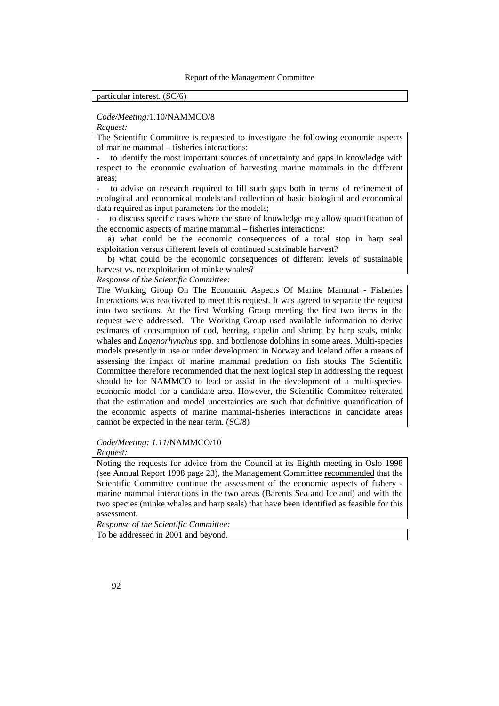### particular interest. (SC/6)

#### *Code/Meeting:*1.10/NAMMCO/8

*Request:* 

The Scientific Committee is requested to investigate the following economic aspects of marine mammal – fisheries interactions:

to identify the most important sources of uncertainty and gaps in knowledge with respect to the economic evaluation of harvesting marine mammals in the different areas;

to advise on research required to fill such gaps both in terms of refinement of ecological and economical models and collection of basic biological and economical data required as input parameters for the models;

- to discuss specific cases where the state of knowledge may allow quantification of the economic aspects of marine mammal – fisheries interactions:

 a) what could be the economic consequences of a total stop in harp seal exploitation versus different levels of continued sustainable harvest?

 b) what could be the economic consequences of different levels of sustainable harvest vs. no exploitation of minke whales?

*Response of the Scientific Committee:* 

The Working Group On The Economic Aspects Of Marine Mammal - Fisheries Interactions was reactivated to meet this request. It was agreed to separate the request into two sections. At the first Working Group meeting the first two items in the request were addressed. The Working Group used available information to derive estimates of consumption of cod, herring, capelin and shrimp by harp seals, minke whales and *Lagenorhynchus* spp. and bottlenose dolphins in some areas. Multi-species models presently in use or under development in Norway and Iceland offer a means of assessing the impact of marine mammal predation on fish stocks The Scientific Committee therefore recommended that the next logical step in addressing the request should be for NAMMCO to lead or assist in the development of a multi-specieseconomic model for a candidate area. However, the Scientific Committee reiterated that the estimation and model uncertainties are such that definitive quantification of the economic aspects of marine mammal-fisheries interactions in candidate areas cannot be expected in the near term. (SC/8)

*Code/Meeting: 1.11*/NAMMCO/10

*Request:* 

Noting the requests for advice from the Council at its Eighth meeting in Oslo 1998 (see Annual Report 1998 page 23), the Management Committee recommended that the Scientific Committee continue the assessment of the economic aspects of fishery marine mammal interactions in the two areas (Barents Sea and Iceland) and with the two species (minke whales and harp seals) that have been identified as feasible for this assessment.

*Response of the Scientific Committee:*  To be addressed in 2001 and beyond.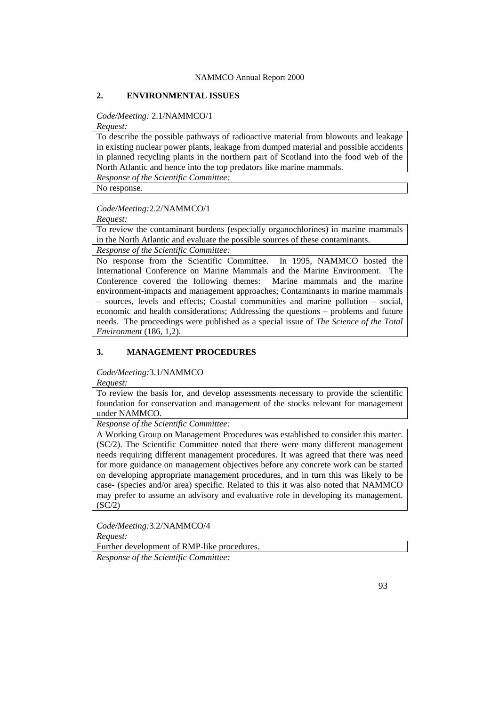# **2. ENVIRONMENTAL ISSUES**

### *Code/Meeting:* 2.1/NAMMCO/1

*Request:* 

To describe the possible pathways of radioactive material from blowouts and leakage in existing nuclear power plants, leakage from dumped material and possible accidents in planned recycling plants in the northern part of Scotland into the food web of the North Atlantic and hence into the top predators like marine mammals.

*Response of the Scientific Committee:* 

No response.

#### *Code/Meeting:*2.2/NAMMCO/1

*Request:* 

To review the contaminant burdens (especially organochlorines) in marine mammals in the North Atlantic and evaluate the possible sources of these contaminants.

*Response of the Scientific Committee:* 

No response from the Scientific Committee. In 1995, NAMMCO hosted the International Conference on Marine Mammals and the Marine Environment. The Conference covered the following themes: Marine mammals and the marine environment-impacts and management approaches; Contaminants in marine mammals – sources, levels and effects; Coastal communities and marine pollution – social, economic and health considerations; Addressing the questions – problems and future needs. The proceedings were published as a special issue of *The Science of the Total Environment* (186, 1,2).

### **3. MANAGEMENT PROCEDURES**

*Code/Meeting:*3.1/NAMMCO

*Request:* 

To review the basis for, and develop assessments necessary to provide the scientific foundation for conservation and management of the stocks relevant for management under NAMMCO.

*Response of the Scientific Committee:* 

A Working Group on Management Procedures was established to consider this matter. (SC/2). The Scientific Committee noted that there were many different management needs requiring different management procedures. It was agreed that there was need for more guidance on management objectives before any concrete work can be started on developing appropriate management procedures, and in turn this was likely to be case- (species and/or area) specific. Related to this it was also noted that NAMMCO may prefer to assume an advisory and evaluative role in developing its management.  $(SC/2)$ 

*Code/Meeting:*3.2/NAMMCO/4

*Request:* 

Further development of RMP-like procedures.

*Response of the Scientific Committee:*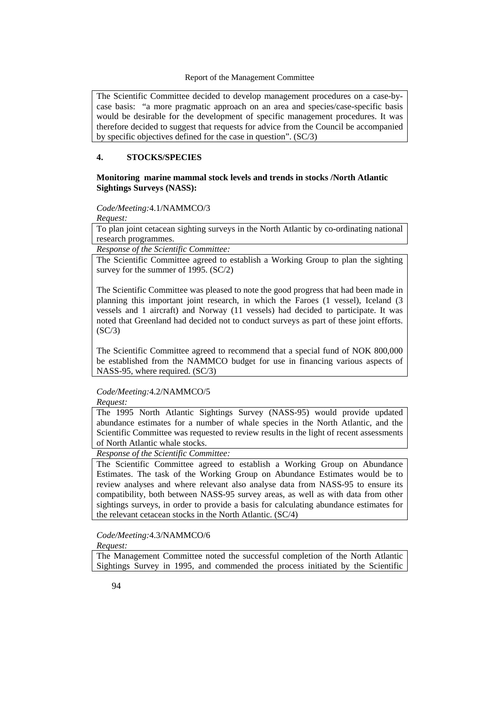The Scientific Committee decided to develop management procedures on a case-bycase basis: "a more pragmatic approach on an area and species/case-specific basis would be desirable for the development of specific management procedures. It was therefore decided to suggest that requests for advice from the Council be accompanied by specific objectives defined for the case in question". (SC/3)

### **4. STOCKS/SPECIES**

### **Monitoring marine mammal stock levels and trends in stocks /North Atlantic Sightings Surveys (NASS):**

*Code/Meeting:*4.1/NAMMCO/3

*Request:* 

To plan joint cetacean sighting surveys in the North Atlantic by co-ordinating national research programmes.

*Response of the Scientific Committee:* 

The Scientific Committee agreed to establish a Working Group to plan the sighting survey for the summer of 1995. (SC/2)

The Scientific Committee was pleased to note the good progress that had been made in planning this important joint research, in which the Faroes (1 vessel), Iceland (3 vessels and 1 aircraft) and Norway (11 vessels) had decided to participate. It was noted that Greenland had decided not to conduct surveys as part of these joint efforts.  $(SC/3)$ 

The Scientific Committee agreed to recommend that a special fund of NOK 800,000 be established from the NAMMCO budget for use in financing various aspects of NASS-95, where required. (SC/3)

*Code/Meeting:*4.2/NAMMCO/5

*Request:* 

The 1995 North Atlantic Sightings Survey (NASS-95) would provide updated abundance estimates for a number of whale species in the North Atlantic, and the Scientific Committee was requested to review results in the light of recent assessments of North Atlantic whale stocks.

*Response of the Scientific Committee:* 

The Scientific Committee agreed to establish a Working Group on Abundance Estimates. The task of the Working Group on Abundance Estimates would be to review analyses and where relevant also analyse data from NASS-95 to ensure its compatibility, both between NASS-95 survey areas, as well as with data from other sightings surveys, in order to provide a basis for calculating abundance estimates for the relevant cetacean stocks in the North Atlantic. (SC/4)

*Code/Meeting:*4.3/NAMMCO/6

*Request:* 

The Management Committee noted the successful completion of the North Atlantic Sightings Survey in 1995, and commended the process initiated by the Scientific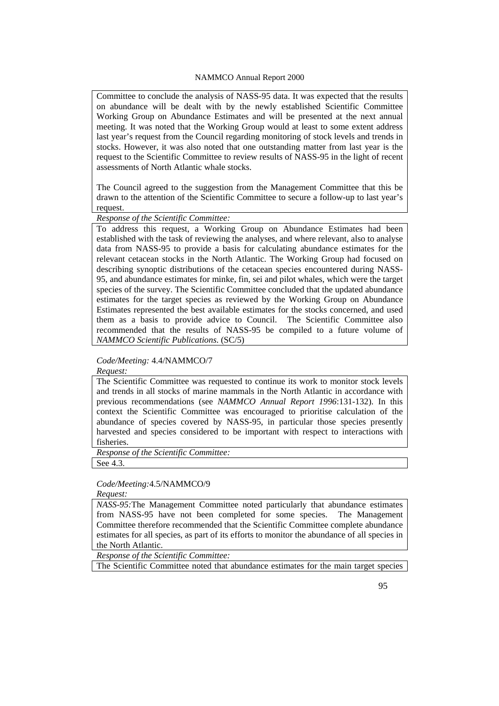Committee to conclude the analysis of NASS-95 data. It was expected that the results on abundance will be dealt with by the newly established Scientific Committee Working Group on Abundance Estimates and will be presented at the next annual meeting. It was noted that the Working Group would at least to some extent address last year's request from the Council regarding monitoring of stock levels and trends in stocks. However, it was also noted that one outstanding matter from last year is the request to the Scientific Committee to review results of NASS-95 in the light of recent assessments of North Atlantic whale stocks.

The Council agreed to the suggestion from the Management Committee that this be drawn to the attention of the Scientific Committee to secure a follow-up to last year's request.

*Response of the Scientific Committee:* 

To address this request, a Working Group on Abundance Estimates had been established with the task of reviewing the analyses, and where relevant, also to analyse data from NASS-95 to provide a basis for calculating abundance estimates for the relevant cetacean stocks in the North Atlantic. The Working Group had focused on describing synoptic distributions of the cetacean species encountered during NASS-95, and abundance estimates for minke, fin, sei and pilot whales, which were the target species of the survey. The Scientific Committee concluded that the updated abundance estimates for the target species as reviewed by the Working Group on Abundance Estimates represented the best available estimates for the stocks concerned, and used them as a basis to provide advice to Council. The Scientific Committee also recommended that the results of NASS-95 be compiled to a future volume of *NAMMCO Scientific Publications*. (SC/5)

### *Code/Meeting:* 4.4/NAMMCO/7

*Request:* 

The Scientific Committee was requested to continue its work to monitor stock levels and trends in all stocks of marine mammals in the North Atlantic in accordance with previous recommendations (see *NAMMCO Annual Report 1996*:131-132). In this context the Scientific Committee was encouraged to prioritise calculation of the abundance of species covered by NASS-95, in particular those species presently harvested and species considered to be important with respect to interactions with fisheries.

*Response of the Scientific Committee:* 

See 4.3.

### *Code/Meeting:*4.5/NAMMCO/9

*Request:* 

*NASS-95:*The Management Committee noted particularly that abundance estimates from NASS-95 have not been completed for some species. The Management Committee therefore recommended that the Scientific Committee complete abundance estimates for all species, as part of its efforts to monitor the abundance of all species in the North Atlantic.

*Response of the Scientific Committee:* 

The Scientific Committee noted that abundance estimates for the main target species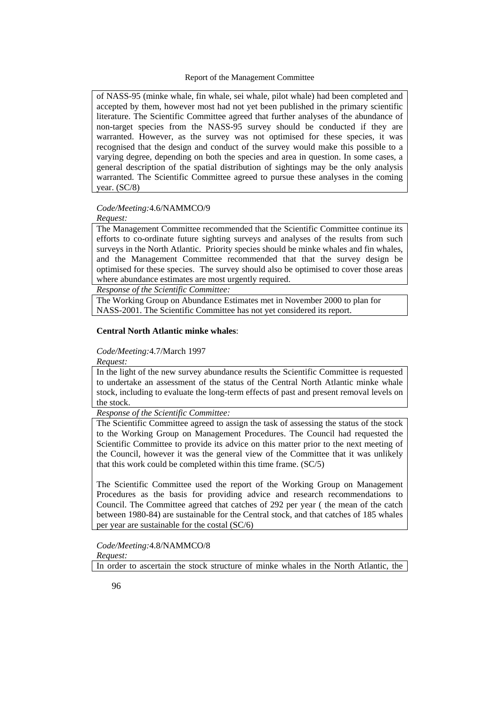of NASS-95 (minke whale, fin whale, sei whale, pilot whale) had been completed and accepted by them, however most had not yet been published in the primary scientific literature. The Scientific Committee agreed that further analyses of the abundance of non-target species from the NASS-95 survey should be conducted if they are warranted. However, as the survey was not optimised for these species, it was recognised that the design and conduct of the survey would make this possible to a varying degree, depending on both the species and area in question. In some cases, a general description of the spatial distribution of sightings may be the only analysis warranted. The Scientific Committee agreed to pursue these analyses in the coming year. (SC/8)

### *Code/Meeting:*4.6/NAMMCO/9

*Request:* 

The Management Committee recommended that the Scientific Committee continue its efforts to co-ordinate future sighting surveys and analyses of the results from such surveys in the North Atlantic. Priority species should be minke whales and fin whales, and the Management Committee recommended that that the survey design be optimised for these species. The survey should also be optimised to cover those areas where abundance estimates are most urgently required.

*Response of the Scientific Committee:* 

The Working Group on Abundance Estimates met in November 2000 to plan for NASS-2001. The Scientific Committee has not yet considered its report.

#### **Central North Atlantic minke whales**:

#### *Code/Meeting:*4.7/March 1997

*Request:* 

In the light of the new survey abundance results the Scientific Committee is requested to undertake an assessment of the status of the Central North Atlantic minke whale stock, including to evaluate the long-term effects of past and present removal levels on the stock.

*Response of the Scientific Committee:* 

The Scientific Committee agreed to assign the task of assessing the status of the stock to the Working Group on Management Procedures. The Council had requested the Scientific Committee to provide its advice on this matter prior to the next meeting of the Council, however it was the general view of the Committee that it was unlikely that this work could be completed within this time frame. (SC/5)

The Scientific Committee used the report of the Working Group on Management Procedures as the basis for providing advice and research recommendations to Council. The Committee agreed that catches of 292 per year ( the mean of the catch between 1980-84) are sustainable for the Central stock, and that catches of 185 whales per year are sustainable for the costal (SC/6)

*Code/Meeting:*4.8/NAMMCO/8 *Request:* 

In order to ascertain the stock structure of minke whales in the North Atlantic, the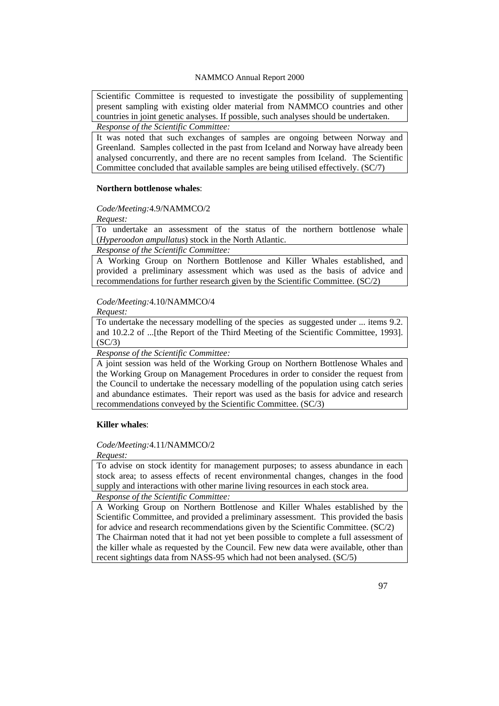Scientific Committee is requested to investigate the possibility of supplementing present sampling with existing older material from NAMMCO countries and other countries in joint genetic analyses. If possible, such analyses should be undertaken. *Response of the Scientific Committee:* 

It was noted that such exchanges of samples are ongoing between Norway and Greenland. Samples collected in the past from Iceland and Norway have already been analysed concurrently, and there are no recent samples from Iceland. The Scientific Committee concluded that available samples are being utilised effectively. (SC/7)

### **Northern bottlenose whales**:

*Code/Meeting:*4.9/NAMMCO/2

*Request:* 

To undertake an assessment of the status of the northern bottlenose whale (*Hyperoodon ampullatus*) stock in the North Atlantic.

*Response of the Scientific Committee:* 

A Working Group on Northern Bottlenose and Killer Whales established, and provided a preliminary assessment which was used as the basis of advice and recommendations for further research given by the Scientific Committee. (SC/2)

### *Code/Meeting:*4.10/NAMMCO/4

*Request:* 

To undertake the necessary modelling of the species as suggested under ... items 9.2. and 10.2.2 of ...[the Report of the Third Meeting of the Scientific Committee, 1993].  $(SC/3)$ 

*Response of the Scientific Committee:* 

A joint session was held of the Working Group on Northern Bottlenose Whales and the Working Group on Management Procedures in order to consider the request from the Council to undertake the necessary modelling of the population using catch series and abundance estimates. Their report was used as the basis for advice and research recommendations conveyed by the Scientific Committee. (SC/3)

### **Killer whales**:

### *Code/Meeting:*4.11/NAMMCO/2

*Request:* 

To advise on stock identity for management purposes; to assess abundance in each stock area; to assess effects of recent environmental changes, changes in the food supply and interactions with other marine living resources in each stock area. *Response of the Scientific Committee:* 

A Working Group on Northern Bottlenose and Killer Whales established by the

Scientific Committee, and provided a preliminary assessment. This provided the basis for advice and research recommendations given by the Scientific Committee. (SC/2) The Chairman noted that it had not yet been possible to complete a full assessment of the killer whale as requested by the Council. Few new data were available, other than recent sightings data from NASS-95 which had not been analysed. (SC/5)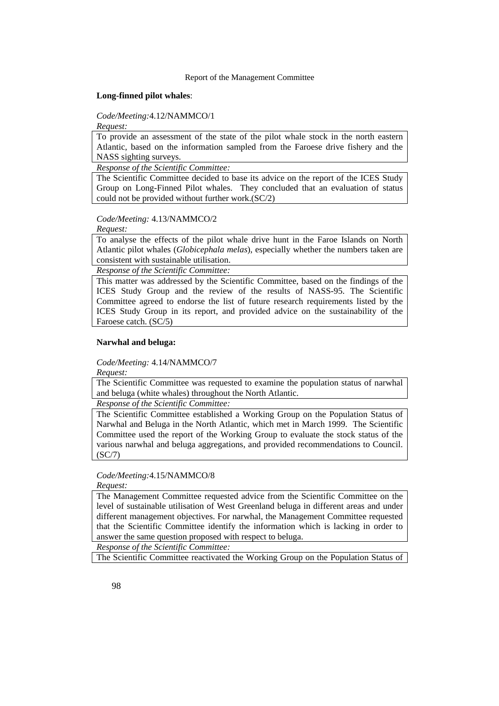#### **Long-finned pilot whales**:

*Code/Meeting:*4.12/NAMMCO/1

*Request:* 

To provide an assessment of the state of the pilot whale stock in the north eastern Atlantic, based on the information sampled from the Faroese drive fishery and the NASS sighting surveys.

*Response of the Scientific Committee:* 

The Scientific Committee decided to base its advice on the report of the ICES Study Group on Long-Finned Pilot whales. They concluded that an evaluation of status could not be provided without further work.(SC/2)

### *Code/Meeting:* 4.13/NAMMCO/2

*Request:* 

To analyse the effects of the pilot whale drive hunt in the Faroe Islands on North Atlantic pilot whales (*Globicephala melas*), especially whether the numbers taken are consistent with sustainable utilisation.

*Response of the Scientific Committee:* 

This matter was addressed by the Scientific Committee, based on the findings of the ICES Study Group and the review of the results of NASS-95. The Scientific Committee agreed to endorse the list of future research requirements listed by the ICES Study Group in its report, and provided advice on the sustainability of the Faroese catch. (SC/5)

### **Narwhal and beluga:**

*Code/Meeting:* 4.14/NAMMCO/7

*Request:* 

The Scientific Committee was requested to examine the population status of narwhal and beluga (white whales) throughout the North Atlantic.

*Response of the Scientific Committee:* 

The Scientific Committee established a Working Group on the Population Status of Narwhal and Beluga in the North Atlantic, which met in March 1999. The Scientific Committee used the report of the Working Group to evaluate the stock status of the various narwhal and beluga aggregations, and provided recommendations to Council. (SC/7)

### *Code/Meeting:*4.15/NAMMCO/8

*Request:* 

The Management Committee requested advice from the Scientific Committee on the level of sustainable utilisation of West Greenland beluga in different areas and under different management objectives. For narwhal, the Management Committee requested that the Scientific Committee identify the information which is lacking in order to answer the same question proposed with respect to beluga.

*Response of the Scientific Committee:* 

The Scientific Committee reactivated the Working Group on the Population Status of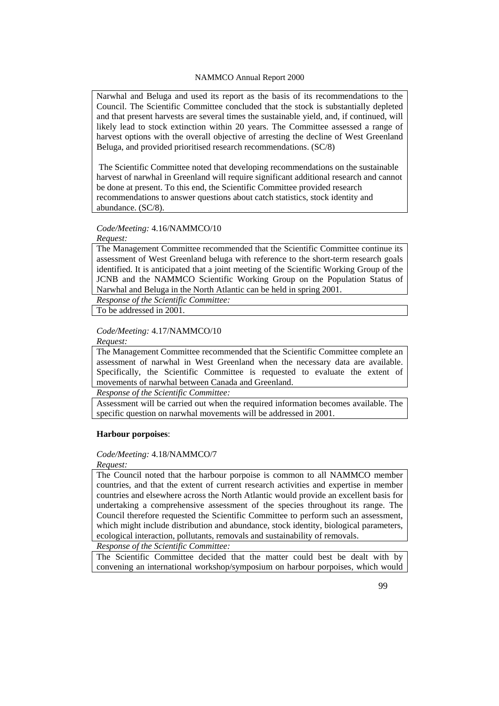Narwhal and Beluga and used its report as the basis of its recommendations to the Council. The Scientific Committee concluded that the stock is substantially depleted and that present harvests are several times the sustainable yield, and, if continued, will likely lead to stock extinction within 20 years. The Committee assessed a range of harvest options with the overall objective of arresting the decline of West Greenland Beluga, and provided prioritised research recommendations. (SC/8)

 The Scientific Committee noted that developing recommendations on the sustainable harvest of narwhal in Greenland will require significant additional research and cannot be done at present. To this end, the Scientific Committee provided research recommendations to answer questions about catch statistics, stock identity and abundance. (SC/8).

### *Code/Meeting:* 4.16/NAMMCO/10

*Request:* 

The Management Committee recommended that the Scientific Committee continue its assessment of West Greenland beluga with reference to the short-term research goals identified. It is anticipated that a joint meeting of the Scientific Working Group of the JCNB and the NAMMCO Scientific Working Group on the Population Status of Narwhal and Beluga in the North Atlantic can be held in spring 2001.

*Response of the Scientific Committee:* 

To be addressed in 2001.

#### *Code/Meeting:* 4.17/NAMMCO/10

#### *Request:*

The Management Committee recommended that the Scientific Committee complete an assessment of narwhal in West Greenland when the necessary data are available. Specifically, the Scientific Committee is requested to evaluate the extent of movements of narwhal between Canada and Greenland.

*Response of the Scientific Committee:* 

Assessment will be carried out when the required information becomes available. The specific question on narwhal movements will be addressed in 2001.

#### **Harbour porpoises**:

### *Code/Meeting:* 4.18/NAMMCO/7

### *Request:*

The Council noted that the harbour porpoise is common to all NAMMCO member countries, and that the extent of current research activities and expertise in member countries and elsewhere across the North Atlantic would provide an excellent basis for undertaking a comprehensive assessment of the species throughout its range. The Council therefore requested the Scientific Committee to perform such an assessment, which might include distribution and abundance, stock identity, biological parameters, ecological interaction, pollutants, removals and sustainability of removals.

*Response of the Scientific Committee:* 

The Scientific Committee decided that the matter could best be dealt with by convening an international workshop/symposium on harbour porpoises, which would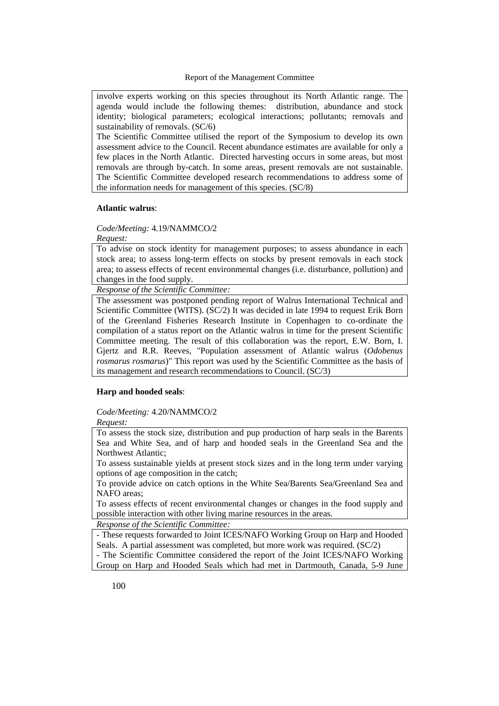involve experts working on this species throughout its North Atlantic range. The agenda would include the following themes: distribution, abundance and stock identity; biological parameters; ecological interactions; pollutants; removals and sustainability of removals. (SC/6)

The Scientific Committee utilised the report of the Symposium to develop its own assessment advice to the Council. Recent abundance estimates are available for only a few places in the North Atlantic. Directed harvesting occurs in some areas, but most removals are through by-catch. In some areas, present removals are not sustainable. The Scientific Committee developed research recommendations to address some of the information needs for management of this species. (SC/8)

#### **Atlantic walrus**:

*Code/Meeting:* 4.19/NAMMCO/2

*Request:* 

To advise on stock identity for management purposes; to assess abundance in each stock area; to assess long-term effects on stocks by present removals in each stock area; to assess effects of recent environmental changes (i.e. disturbance, pollution) and changes in the food supply.

*Response of the Scientific Committee:* 

The assessment was postponed pending report of Walrus International Technical and Scientific Committee (WITS). (SC/2) It was decided in late 1994 to request Erik Born of the Greenland Fisheries Research Institute in Copenhagen to co-ordinate the compilation of a status report on the Atlantic walrus in time for the present Scientific Committee meeting. The result of this collaboration was the report, E.W. Born, I. Gjertz and R.R. Reeves, "Population assessment of Atlantic walrus (*Odobenus rosmarus rosmarus*)" This report was used by the Scientific Committee as the basis of its management and research recommendations to Council. (SC/3)

#### **Harp and hooded seals**:

*Code/Meeting:* 4.20/NAMMCO/2

*Request:* 

To assess the stock size, distribution and pup production of harp seals in the Barents Sea and White Sea, and of harp and hooded seals in the Greenland Sea and the Northwest Atlantic;

To assess sustainable yields at present stock sizes and in the long term under varying options of age composition in the catch;

To provide advice on catch options in the White Sea/Barents Sea/Greenland Sea and NAFO areas;

To assess effects of recent environmental changes or changes in the food supply and possible interaction with other living marine resources in the areas.

*Response of the Scientific Committee:* 

- These requests forwarded to Joint ICES/NAFO Working Group on Harp and Hooded Seals. A partial assessment was completed, but more work was required. (SC/2) - The Scientific Committee considered the report of the Joint ICES/NAFO Working Group on Harp and Hooded Seals which had met in Dartmouth, Canada, 5-9 June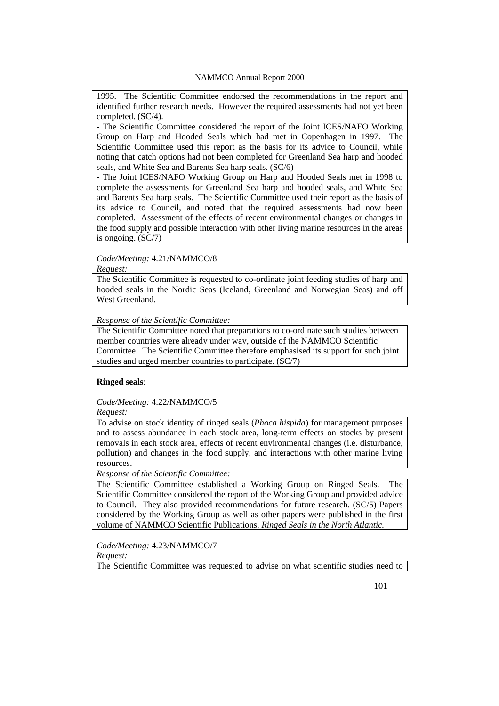1995. The Scientific Committee endorsed the recommendations in the report and identified further research needs. However the required assessments had not yet been completed. (SC/4).

- The Scientific Committee considered the report of the Joint ICES/NAFO Working Group on Harp and Hooded Seals which had met in Copenhagen in 1997. The Scientific Committee used this report as the basis for its advice to Council, while noting that catch options had not been completed for Greenland Sea harp and hooded seals, and White Sea and Barents Sea harp seals. (SC/6)

- The Joint ICES/NAFO Working Group on Harp and Hooded Seals met in 1998 to complete the assessments for Greenland Sea harp and hooded seals, and White Sea and Barents Sea harp seals. The Scientific Committee used their report as the basis of its advice to Council, and noted that the required assessments had now been completed. Assessment of the effects of recent environmental changes or changes in the food supply and possible interaction with other living marine resources in the areas is ongoing. (SC/7)

### *Code/Meeting:* 4.21/NAMMCO/8

*Request:* 

The Scientific Committee is requested to co-ordinate joint feeding studies of harp and hooded seals in the Nordic Seas (Iceland, Greenland and Norwegian Seas) and off West Greenland.

### *Response of the Scientific Committee:*

The Scientific Committee noted that preparations to co-ordinate such studies between member countries were already under way, outside of the NAMMCO Scientific Committee. The Scientific Committee therefore emphasised its support for such joint studies and urged member countries to participate. (SC/7)

### **Ringed seals**:

### *Code/Meeting:* 4.22/NAMMCO/5

*Request:* 

To advise on stock identity of ringed seals (*Phoca hispida*) for management purposes and to assess abundance in each stock area, long-term effects on stocks by present removals in each stock area, effects of recent environmental changes (i.e. disturbance, pollution) and changes in the food supply, and interactions with other marine living resources.

*Response of the Scientific Committee:* 

The Scientific Committee established a Working Group on Ringed Seals. The Scientific Committee considered the report of the Working Group and provided advice to Council. They also provided recommendations for future research. (SC/5) Papers considered by the Working Group as well as other papers were published in the first volume of NAMMCO Scientific Publications, *Ringed Seals in the North Atlantic.*

*Code/Meeting:* 4.23/NAMMCO/7 *Request:* 

The Scientific Committee was requested to advise on what scientific studies need to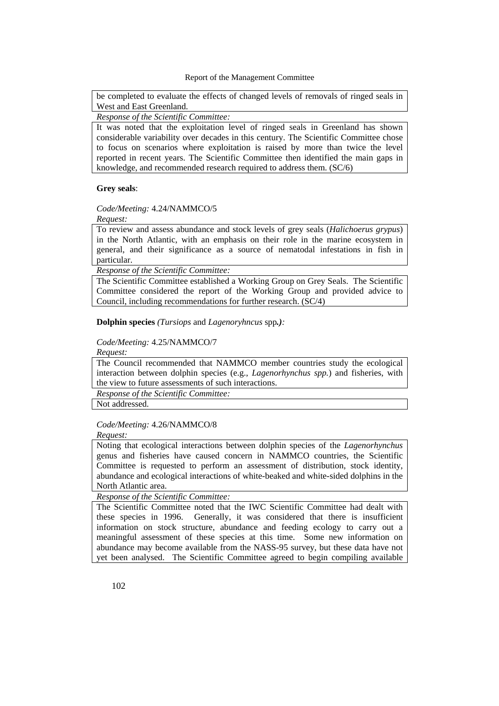be completed to evaluate the effects of changed levels of removals of ringed seals in West and East Greenland.

*Response of the Scientific Committee:* 

It was noted that the exploitation level of ringed seals in Greenland has shown considerable variability over decades in this century. The Scientific Committee chose to focus on scenarios where exploitation is raised by more than twice the level reported in recent years. The Scientific Committee then identified the main gaps in knowledge, and recommended research required to address them. (SC/6)

### **Grey seals**:

### *Code/Meeting:* 4.24/NAMMCO/5

*Request:* 

To review and assess abundance and stock levels of grey seals (*Halichoerus grypus*) in the North Atlantic, with an emphasis on their role in the marine ecosystem in general, and their significance as a source of nematodal infestations in fish in particular.

*Response of the Scientific Committee:* 

The Scientific Committee established a Working Group on Grey Seals. The Scientific Committee considered the report of the Working Group and provided advice to Council, including recommendations for further research. (SC/4)

**Dolphin species** *(Tursiops* and *Lagenoryhncus* spp*.):*

#### *Code/Meeting:* 4.25/NAMMCO/7

*Request:* 

The Council recommended that NAMMCO member countries study the ecological interaction between dolphin species (e.g., *Lagenorhynchus spp.*) and fisheries, with the view to future assessments of such interactions.

*Response of the Scientific Committee:* 

Not addressed.

# *Code/Meeting:* 4.26/NAMMCO/8

*Request:* 

Noting that ecological interactions between dolphin species of the *Lagenorhynchus*  genus and fisheries have caused concern in NAMMCO countries, the Scientific Committee is requested to perform an assessment of distribution, stock identity, abundance and ecological interactions of white-beaked and white-sided dolphins in the North Atlantic area.

#### *Response of the Scientific Committee:*

The Scientific Committee noted that the IWC Scientific Committee had dealt with these species in 1996. Generally, it was considered that there is insufficient information on stock structure, abundance and feeding ecology to carry out a meaningful assessment of these species at this time. Some new information on abundance may become available from the NASS-95 survey, but these data have not yet been analysed. The Scientific Committee agreed to begin compiling available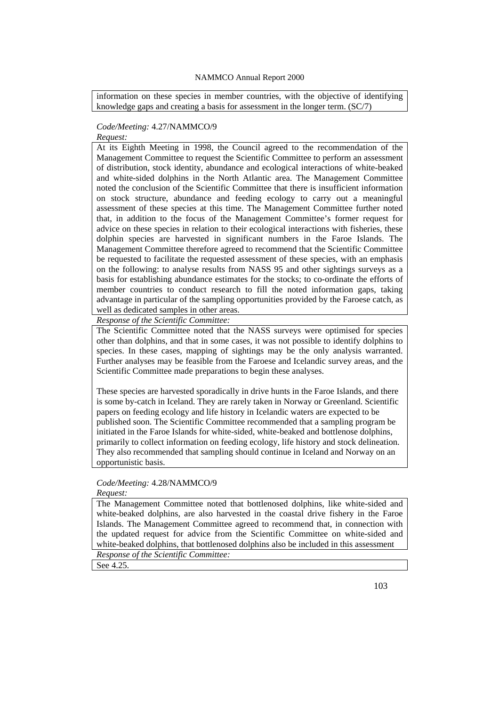information on these species in member countries, with the objective of identifying knowledge gaps and creating a basis for assessment in the longer term. (SC/7)

### *Code/Meeting:* 4.27/NAMMCO/9

# *Request:*

At its Eighth Meeting in 1998, the Council agreed to the recommendation of the Management Committee to request the Scientific Committee to perform an assessment of distribution, stock identity, abundance and ecological interactions of white-beaked and white-sided dolphins in the North Atlantic area. The Management Committee noted the conclusion of the Scientific Committee that there is insufficient information on stock structure, abundance and feeding ecology to carry out a meaningful assessment of these species at this time. The Management Committee further noted that, in addition to the focus of the Management Committee's former request for advice on these species in relation to their ecological interactions with fisheries, these dolphin species are harvested in significant numbers in the Faroe Islands. The Management Committee therefore agreed to recommend that the Scientific Committee be requested to facilitate the requested assessment of these species, with an emphasis on the following: to analyse results from NASS 95 and other sightings surveys as a basis for establishing abundance estimates for the stocks; to co-ordinate the efforts of member countries to conduct research to fill the noted information gaps, taking advantage in particular of the sampling opportunities provided by the Faroese catch, as well as dedicated samples in other areas.

*Response of the Scientific Committee:* 

The Scientific Committee noted that the NASS surveys were optimised for species other than dolphins, and that in some cases, it was not possible to identify dolphins to species. In these cases, mapping of sightings may be the only analysis warranted. Further analyses may be feasible from the Faroese and Icelandic survey areas, and the Scientific Committee made preparations to begin these analyses.

These species are harvested sporadically in drive hunts in the Faroe Islands, and there is some by-catch in Iceland. They are rarely taken in Norway or Greenland. Scientific papers on feeding ecology and life history in Icelandic waters are expected to be published soon. The Scientific Committee recommended that a sampling program be initiated in the Faroe Islands for white-sided, white-beaked and bottlenose dolphins, primarily to collect information on feeding ecology, life history and stock delineation. They also recommended that sampling should continue in Iceland and Norway on an opportunistic basis.

# *Code/Meeting:* 4.28/NAMMCO/9

### *Request:*

The Management Committee noted that bottlenosed dolphins, like white-sided and white-beaked dolphins, are also harvested in the coastal drive fishery in the Faroe Islands. The Management Committee agreed to recommend that, in connection with the updated request for advice from the Scientific Committee on white-sided and white-beaked dolphins, that bottlenosed dolphins also be included in this assessment

*Response of the Scientific Committee:* 

See 4.25.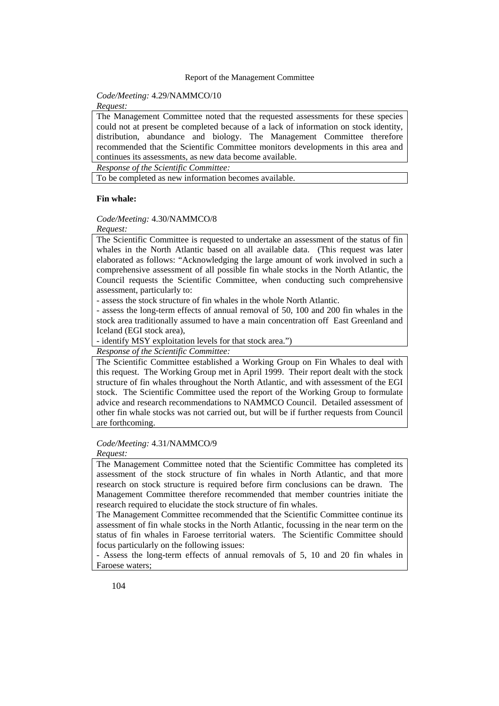### *Code/Meeting:* 4.29/NAMMCO/10

*Request:* 

The Management Committee noted that the requested assessments for these species could not at present be completed because of a lack of information on stock identity, distribution, abundance and biology. The Management Committee therefore recommended that the Scientific Committee monitors developments in this area and continues its assessments, as new data become available.

*Response of the Scientific Committee:* 

To be completed as new information becomes available.

#### **Fin whale:**

### *Code/Meeting:* 4.30/NAMMCO/8

#### *Request:*

The Scientific Committee is requested to undertake an assessment of the status of fin whales in the North Atlantic based on all available data. (This request was later elaborated as follows: "Acknowledging the large amount of work involved in such a comprehensive assessment of all possible fin whale stocks in the North Atlantic, the Council requests the Scientific Committee, when conducting such comprehensive assessment, particularly to:

- assess the stock structure of fin whales in the whole North Atlantic.

- assess the long-term effects of annual removal of 50, 100 and 200 fin whales in the stock area traditionally assumed to have a main concentration off East Greenland and Iceland (EGI stock area),

- identify MSY exploitation levels for that stock area.")

*Response of the Scientific Committee:* 

The Scientific Committee established a Working Group on Fin Whales to deal with this request. The Working Group met in April 1999. Their report dealt with the stock structure of fin whales throughout the North Atlantic, and with assessment of the EGI stock. The Scientific Committee used the report of the Working Group to formulate advice and research recommendations to NAMMCO Council. Detailed assessment of other fin whale stocks was not carried out, but will be if further requests from Council are forthcoming.

#### *Code/Meeting:* 4.31/NAMMCO/9

*Request:* 

The Management Committee noted that the Scientific Committee has completed its assessment of the stock structure of fin whales in North Atlantic, and that more research on stock structure is required before firm conclusions can be drawn. The Management Committee therefore recommended that member countries initiate the research required to elucidate the stock structure of fin whales.

The Management Committee recommended that the Scientific Committee continue its assessment of fin whale stocks in the North Atlantic, focussing in the near term on the status of fin whales in Faroese territorial waters. The Scientific Committee should focus particularly on the following issues:

- Assess the long-term effects of annual removals of 5, 10 and 20 fin whales in Faroese waters;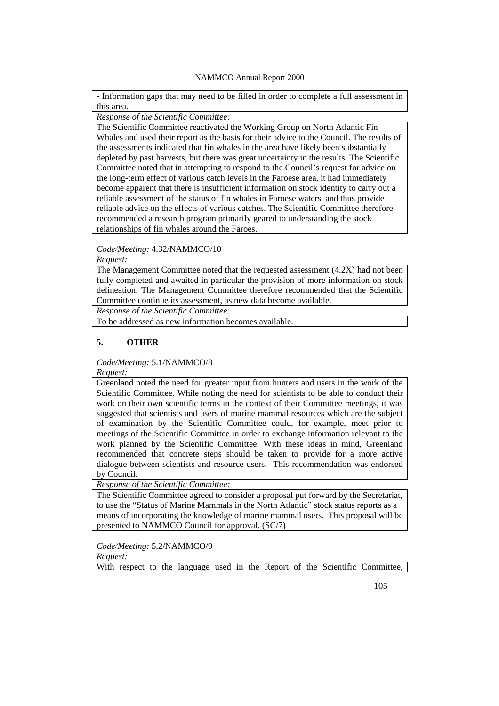- Information gaps that may need to be filled in order to complete a full assessment in this area.

*Response of the Scientific Committee:* 

The Scientific Committee reactivated the Working Group on North Atlantic Fin Whales and used their report as the basis for their advice to the Council. The results of the assessments indicated that fin whales in the area have likely been substantially depleted by past harvests, but there was great uncertainty in the results. The Scientific Committee noted that in attempting to respond to the Council's request for advice on the long-term effect of various catch levels in the Faroese area, it had immediately become apparent that there is insufficient information on stock identity to carry out a reliable assessment of the status of fin whales in Faroese waters, and thus provide reliable advice on the effects of various catches. The Scientific Committee therefore recommended a research program primarily geared to understanding the stock relationships of fin whales around the Faroes.

### *Code/Meeting:* 4.32/NAMMCO/10

*Request:* 

The Management Committee noted that the requested assessment (4.2X) had not been fully completed and awaited in particular the provision of more information on stock delineation. The Management Committee therefore recommended that the Scientific Committee continue its assessment, as new data become available.

*Response of the Scientific Committee:* 

To be addressed as new information becomes available.

### **5. OTHER**

*Code/Meeting:* 5.1/NAMMCO/8

*Request:* 

Greenland noted the need for greater input from hunters and users in the work of the Scientific Committee. While noting the need for scientists to be able to conduct their work on their own scientific terms in the context of their Committee meetings, it was suggested that scientists and users of marine mammal resources which are the subject of examination by the Scientific Committee could, for example, meet prior to meetings of the Scientific Committee in order to exchange information relevant to the work planned by the Scientific Committee. With these ideas in mind, Greenland recommended that concrete steps should be taken to provide for a more active dialogue between scientists and resource users. This recommendation was endorsed by Council.

*Response of the Scientific Committee:* 

The Scientific Committee agreed to consider a proposal put forward by the Secretariat, to use the "Status of Marine Mammals in the North Atlantic" stock status reports as a means of incorporating the knowledge of marine mammal users. This proposal will be presented to NAMMCO Council for approval. (SC/7)

*Code/Meeting:* 5.2/NAMMCO/9 *Request:* 

With respect to the language used in the Report of the Scientific Committee,